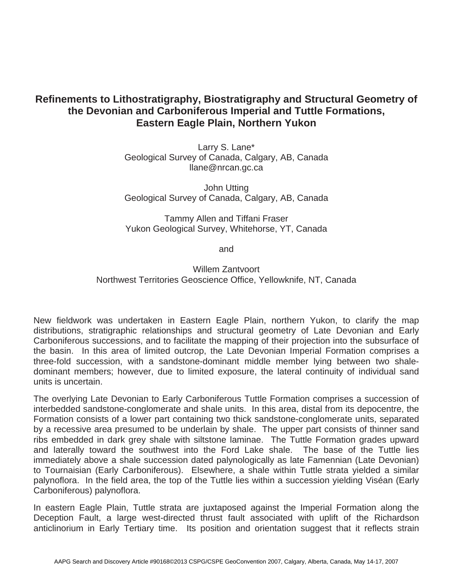## **Refinements to Lithostratigraphy, Biostratigraphy and Structural Geometry of the Devonian and Carboniferous Imperial and Tuttle Formations, Eastern Eagle Plain, Northern Yukon**

Larry S. Lane\* Geological Survey of Canada, Calgary, AB, Canada llane@nrcan.gc.ca

John Utting Geological Survey of Canada, Calgary, AB, Canada

Tammy Allen and Tiffani Fraser Yukon Geological Survey, Whitehorse, YT, Canada

and

Willem Zantvoort Northwest Territories Geoscience Office, Yellowknife, NT, Canada

New fieldwork was undertaken in Eastern Eagle Plain, northern Yukon, to clarify the map distributions, stratigraphic relationships and structural geometry of Late Devonian and Early Carboniferous successions, and to facilitate the mapping of their projection into the subsurface of the basin. In this area of limited outcrop, the Late Devonian Imperial Formation comprises a three-fold succession, with a sandstone-dominant middle member lying between two shaledominant members; however, due to limited exposure, the lateral continuity of individual sand units is uncertain.

The overlying Late Devonian to Early Carboniferous Tuttle Formation comprises a succession of interbedded sandstone-conglomerate and shale units. In this area, distal from its depocentre, the Formation consists of a lower part containing two thick sandstone-conglomerate units, separated by a recessive area presumed to be underlain by shale. The upper part consists of thinner sand ribs embedded in dark grey shale with siltstone laminae. The Tuttle Formation grades upward and laterally toward the southwest into the Ford Lake shale. The base of the Tuttle lies immediately above a shale succession dated palynologically as late Famennian (Late Devonian) to Tournaisian (Early Carboniferous). Elsewhere, a shale within Tuttle strata yielded a similar palynoflora. In the field area, the top of the Tuttle lies within a succession yielding Viséan (Early Carboniferous) palynoflora.

In eastern Eagle Plain, Tuttle strata are juxtaposed against the Imperial Formation along the Deception Fault, a large west-directed thrust fault associated with uplift of the Richardson anticlinorium in Early Tertiary time. Its position and orientation suggest that it reflects strain